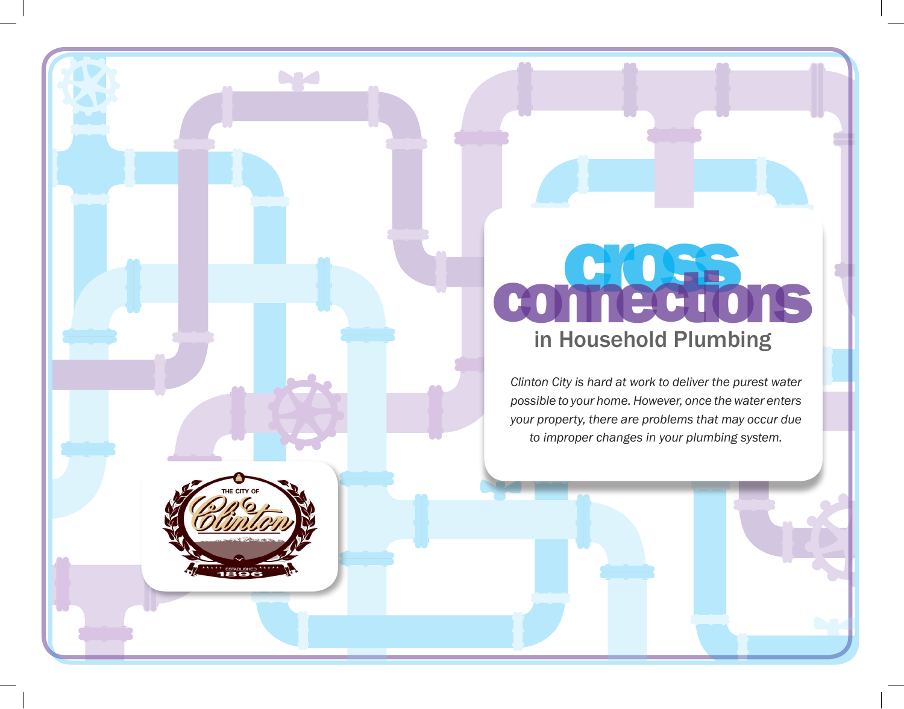## comections in Household Plumbing

*Clinton City is hard at work to deliver the purest water possible to your home. However, once the water enters your property, there are problems that may occur due to improper changes in your plumbing system.* 



**Dyset**